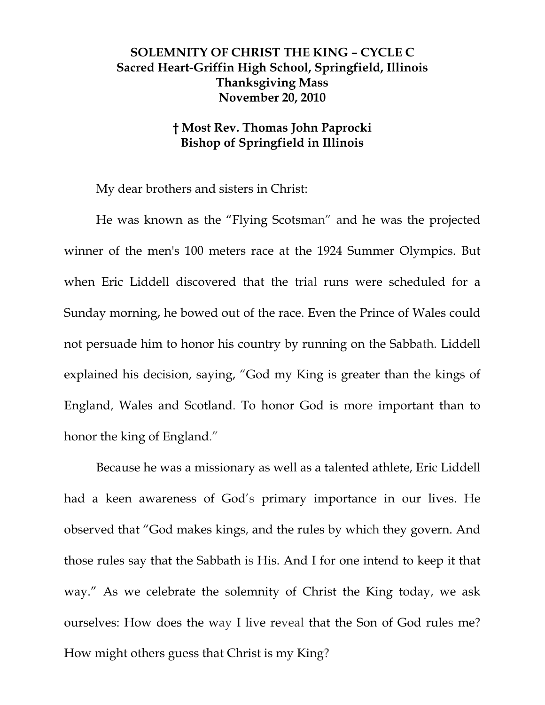## **SOLEMNITY OF CHRIST THE KING – CYCLE C Sacred Heart-Griffin High School, Springfield, Illinois Thanksgiving Mass November 20, 2010**

## **† Most Rev. Thomas John Paprocki Bishop of Springfield in Illinois**

My dear brothers and sisters in Christ:

He was known as the "Flying Scotsman" and he was the projected winner of the men's 100 meters race at the 1924 Summer Olympics. But when Eric Liddell discovered that the trial runs were scheduled for a Sunday morning, he bowed out of the race. Even the Prince of Wales could not persuade him to honor his country by running on the Sabbath. Liddell explained his decision, saying, "God my King is greater than the kings of England, Wales and Scotland. To honor God is more important than to honor the king of England."

Because he was a missionary as well as a talented athlete, Eric Liddell had a keen awareness of God's primary importance in our lives. He observed that "God makes kings, and the rules by which they govern. And those rules say that the Sabbath is His. And I for one intend to keep it that way." As we celebrate the solemnity of Christ the King today, we ask ourselves: How does the way I live reveal that the Son of God rules me? How might others guess that Christ is my King?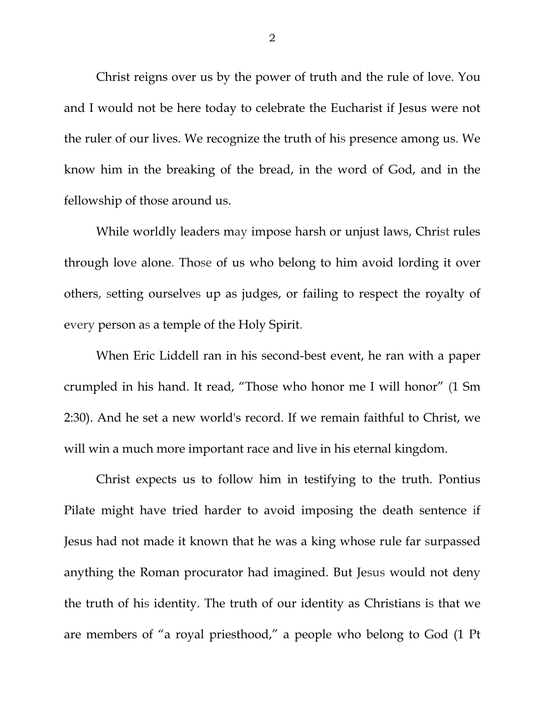Christ reigns over us by the power of truth and the rule of love. You and I would not be here today to celebrate the Eucharist if Jesus were not the ruler of our lives. We recognize the truth of his presence among us. We know him in the breaking of the bread, in the word of God, and in the fellowship of those around us.

While worldly leaders may impose harsh or unjust laws, Christ rules through love alone. Those of us who belong to him avoid lording it over others, setting ourselves up as judges, or failing to respect the royalty of every person as a temple of the Holy Spirit.

When Eric Liddell ran in his second-best event, he ran with a paper crumpled in his hand. It read, "Those who honor me I will honor" (1 Sm 2:30). And he set a new world's record. If we remain faithful to Christ, we will win a much more important race and live in his eternal kingdom.

Christ expects us to follow him in testifying to the truth. Pontius Pilate might have tried harder to avoid imposing the death sentence if Jesus had not made it known that he was a king whose rule far surpassed anything the Roman procurator had imagined. But Jesus would not deny the truth of his identity. The truth of our identity as Christians is that we are members of "a royal priesthood," a people who belong to God (1 Pt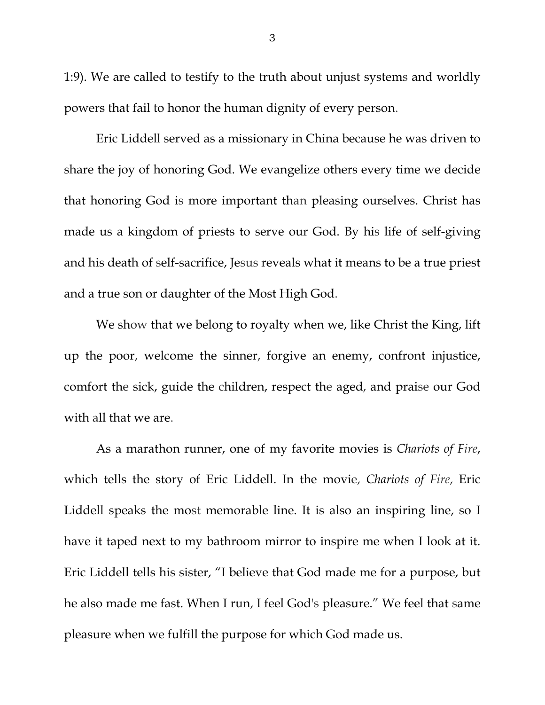1:9). We are called to testify to the truth about unjust systems and worldly powers that fail to honor the human dignity of every person.

Eric Liddell served as a missionary in China because he was driven to share the joy of honoring God. We evangelize others every time we decide that honoring God is more important than pleasing ourselves. Christ has made us a kingdom of priests to serve our God. By his life of self-giving and his death of self-sacrifice, Jesus reveals what it means to be a true priest and a true son or daughter of the Most High God.

We show that we belong to royalty when we, like Christ the King, lift up the poor, welcome the sinner, forgive an enemy, confront injustice, comfort the sick, guide the children, respect the aged, and praise our God with all that we are.

As a marathon runner, one of my favorite movies is *Chariots of Fire*, which tells the story of Eric Liddell. In the movie, *Chariots of Fire*, Eric Liddell speaks the most memorable line. It is also an inspiring line, so I have it taped next to my bathroom mirror to inspire me when I look at it. Eric Liddell tells his sister, "I believe that God made me for a purpose, but he also made me fast. When I run, I feel God's pleasure." We feel that same pleasure when we fulfill the purpose for which God made us.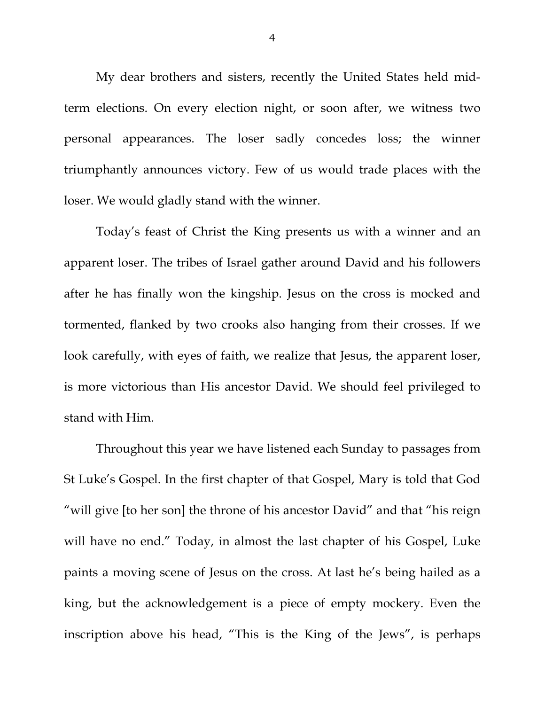My dear brothers and sisters, recently the United States held midterm elections. On every election night, or soon after, we witness two personal appearances. The loser sadly concedes loss; the winner triumphantly announces victory. Few of us would trade places with the loser. We would gladly stand with the winner.

Today's feast of Christ the King presents us with a winner and an apparent loser. The tribes of Israel gather around David and his followers after he has finally won the kingship. Jesus on the cross is mocked and tormented, flanked by two crooks also hanging from their crosses. If we look carefully, with eyes of faith, we realize that Jesus, the apparent loser, is more victorious than His ancestor David. We should feel privileged to stand with Him.

Throughout this year we have listened each Sunday to passages from St Luke's Gospel. In the first chapter of that Gospel, Mary is told that God "will give [to her son] the throne of his ancestor David" and that "his reign will have no end." Today, in almost the last chapter of his Gospel, Luke paints a moving scene of Jesus on the cross. At last he's being hailed as a king, but the acknowledgement is a piece of empty mockery. Even the inscription above his head, "This is the King of the Jews", is perhaps

4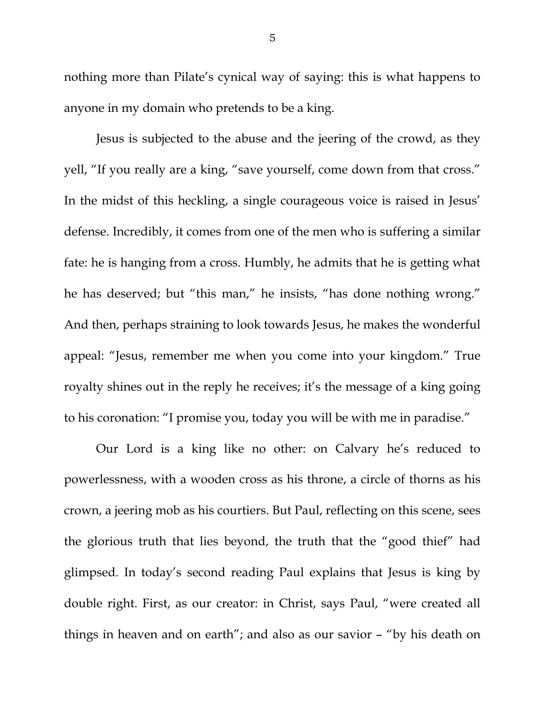nothing more than Pilate's cynical way of saying: this is what happens to anyone in my domain who pretends to be a king.

Jesus is subjected to the abuse and the jeering of the crowd, as they yell, "If you really are a king, "save yourself, come down from that cross." In the midst of this heckling, a single courageous voice is raised in Jesus' defense. Incredibly, it comes from one of the men who is suffering a similar fate: he is hanging from a cross. Humbly, he admits that he is getting what he has deserved; but "this man," he insists, "has done nothing wrong." And then, perhaps straining to look towards Jesus, he makes the wonderful appeal: "Jesus, remember me when you come into your kingdom." True royalty shines out in the reply he receives; it's the message of a king going to his coronation: "I promise you, today you will be with me in paradise."

Our Lord is a king like no other: on Calvary he's reduced to powerlessness, with a wooden cross as his throne, a circle of thorns as his crown, a jeering mob as his courtiers. But Paul, reflecting on this scene, sees the glorious truth that lies beyond, the truth that the "good thief" had glimpsed. In today's second reading Paul explains that Jesus is king by double right. First, as our creator: in Christ, says Paul, "were created all things in heaven and on earth"; and also as our savior – "by his death on